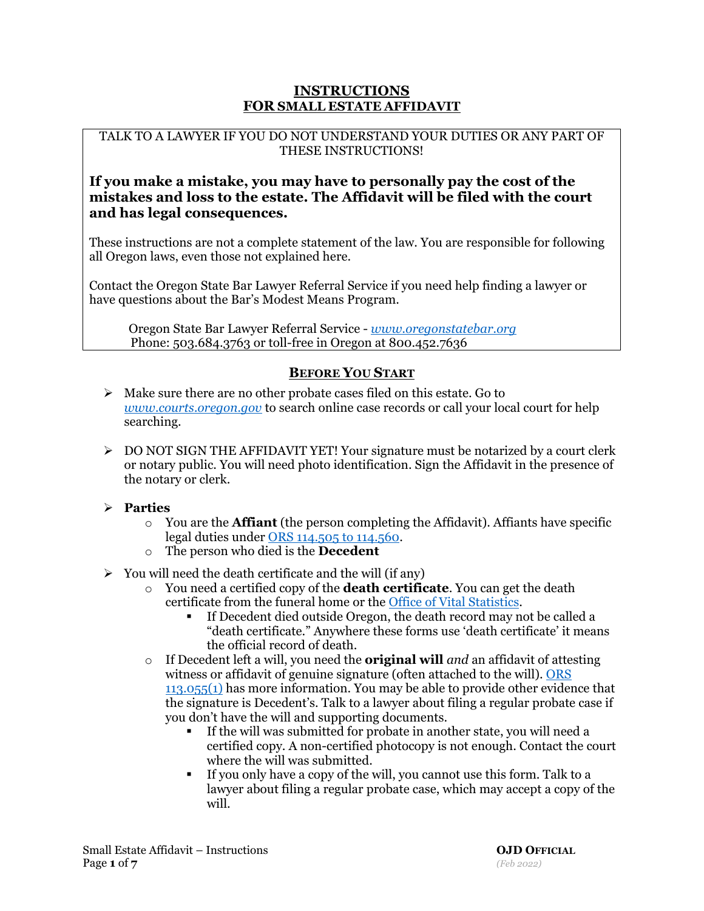## **INSTRUCTIONS FOR SMALL ESTATE AFFIDAVIT**

### TALK TO A LAWYER IF YOU DO NOT UNDERSTAND YOUR DUTIES OR ANY PART OF THESE INSTRUCTIONS!

## **If you make a mistake, you may have to personally pay the cost of the mistakes and loss to the estate. The Affidavit will be filed with the court and has legal consequences.**

These instructions are not a complete statement of the law. You are responsible for following all Oregon laws, even those not explained here.

Contact the Oregon State Bar Lawyer Referral Service if you need help finding a lawyer or have questions about the Bar's Modest Means Program.

 Oregon State Bar Lawyer Referral Service - *[www.oregonstatebar.org](https://www.osbar.org/index.html)* Phone: 503.684.3763 or toll-free in Oregon at 800.452.7636

# **BEFORE YOU START**

- $\blacktriangleright$  Make sure there are no other probate cases filed on this estate. Go to *[www.courts.oregon.gov](http://www.courts.oregon.gov/)* to search online case records or call your local court for help searching.
- $\triangleright$  DO NOT SIGN THE AFFIDAVIT YET! Your signature must be notarized by a court clerk or notary public. You will need photo identification. Sign the Affidavit in the presence of the notary or clerk.

## **Parties**

- o You are the **Affiant** (the person completing the Affidavit). Affiants have specific legal duties under [ORS 114.505 to 114.560.](https://www.oregonlegislature.gov/bills_laws/ors/ors114.html)
- o The person who died is the **Decedent**
- $\triangleright$  You will need the death certificate and the will (if any)
	- o You need a certified copy of the **death certificate**. You can get the death certificate from the funeral home or the [Office of Vital Statistics.](https://www.oregon.gov/oha/PH/BirthDeathCertificates/GetVitalRecords/Pages/index.aspx)
		- If Decedent died outside Oregon, the death record may not be called a "death certificate." Anywhere these forms use 'death certificate' it means the official record of death.
	- o If Decedent left a will, you need the **original will** *and* an affidavit of attesting witness or affidavit of genuine signature (often attached to the will). [ORS](https://www.oregonlegislature.gov/bills_laws/ors/ors113.html)  [113.055\(1\)](https://www.oregonlegislature.gov/bills_laws/ors/ors113.html) has more information. You may be able to provide other evidence that the signature is Decedent's. Talk to a lawyer about filing a regular probate case if you don't have the will and supporting documents.
		- If the will was submitted for probate in another state, you will need a certified copy. A non-certified photocopy is not enough. Contact the court where the will was submitted.
		- If you only have a copy of the will, you cannot use this form. Talk to a lawyer about filing a regular probate case, which may accept a copy of the will.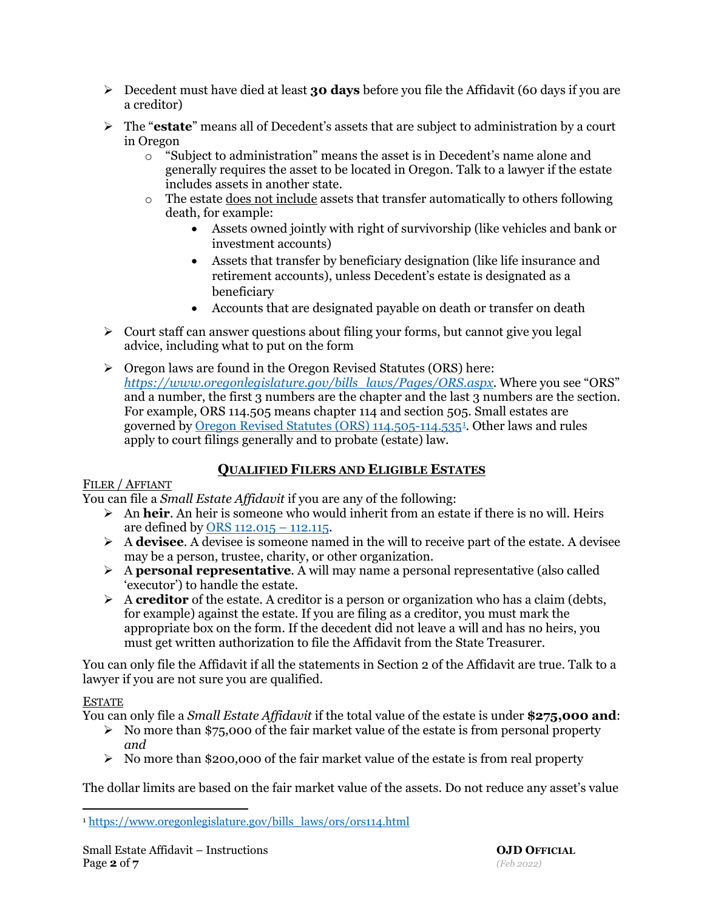- Decedent must have died at least **30 days** before you file the Affidavit (60 days if you are a creditor)
- The "**estate**" means all of Decedent's assets that are subject to administration by a court in Oregon
	- o "Subject to administration" means the asset is in Decedent's name alone and generally requires the asset to be located in Oregon. Talk to a lawyer if the estate includes assets in another state.
	- $\circ$  The estate does not include assets that transfer automatically to others following death, for example:
		- Assets owned jointly with right of survivorship (like vehicles and bank or investment accounts)
		- Assets that transfer by beneficiary designation (like life insurance and retirement accounts), unless Decedent's estate is designated as a beneficiary
		- Accounts that are designated payable on death or transfer on death
- $\triangleright$  Court staff can answer questions about filing your forms, but cannot give you legal advice, including what to put on the form
- $\triangleright$  Oregon laws are found in the Oregon Revised Statutes (ORS) here: *[https://www.oregonlegislature.gov/bills\\_laws/Pages/ORS.aspx](https://www.oregonlegislature.gov/bills_laws/Pages/ORS.aspx)*. Where you see "ORS" and a number, the first 3 numbers are the chapter and the last 3 numbers are the section. For example, ORS 114.505 means chapter 114 and section 505. Small estates are governed by <u>Oregon Revised Statutes (ORS) [1](#page-1-0)14.505-114.5354</u>. Other laws and rules apply to court filings generally and to probate (estate) law.

# **QUALIFIED FILERS AND ELIGIBLE ESTATES**

### FILER / AFFIANT

You can file a *Small Estate Affidavit* if you are any of the following:

- An **heir**. An heir is someone who would inherit from an estate if there is no will. Heirs are defined by [ORS 112.015 –](https://www.oregonlegislature.gov/bills_laws/ors/ors112.html) 112.115.
- A **devisee**. A devisee is someone named in the will to receive part of the estate. A devisee may be a person, trustee, charity, or other organization.
- A **personal representative**. A will may name a personal representative (also called 'executor') to handle the estate.
- A **creditor** of the estate. A creditor is a person or organization who has a claim (debts, for example) against the estate. If you are filing as a creditor, you must mark the appropriate box on the form. If the decedent did not leave a will and has no heirs, you must get written authorization to file the Affidavit from the State Treasurer.

You can only file the Affidavit if all the statements in Section 2 of the Affidavit are true. Talk to a lawyer if you are not sure you are qualified.

## ESTATE

You can only file a *Small Estate Affidavit* if the total value of the estate is under **\$275,000 and**:

- $\triangleright$  No more than \$75,000 of the fair market value of the estate is from personal property *and*
- $\triangleright$  No more than \$200,000 of the fair market value of the estate is from real property

The dollar limits are based on the fair market value of the assets. Do not reduce any asset's value

<span id="page-1-0"></span><sup>1</sup> [https://www.oregonlegislature.gov/bills\\_laws/ors/ors114.html](https://www.oregonlegislature.gov/bills_laws/ors/ors114.html)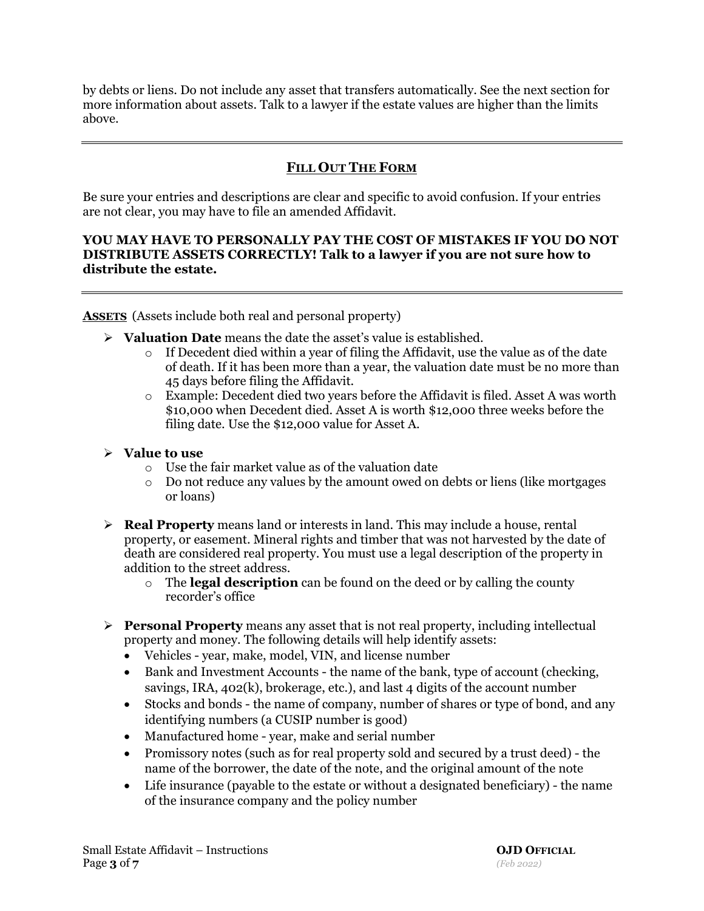by debts or liens. Do not include any asset that transfers automatically. See the next section for more information about assets. Talk to a lawyer if the estate values are higher than the limits above.

## **FILL OUT THE FORM**

Be sure your entries and descriptions are clear and specific to avoid confusion. If your entries are not clear, you may have to file an amended Affidavit.

### **YOU MAY HAVE TO PERSONALLY PAY THE COST OF MISTAKES IF YOU DO NOT DISTRIBUTE ASSETS CORRECTLY! Talk to a lawyer if you are not sure how to distribute the estate.**

**ASSETS** (Assets include both real and personal property)

- **Valuation Date** means the date the asset's value is established.
	- $\circ$  If Decedent died within a year of filing the Affidavit, use the value as of the date of death. If it has been more than a year, the valuation date must be no more than 45 days before filing the Affidavit.
	- o Example: Decedent died two years before the Affidavit is filed. Asset A was worth \$10,000 when Decedent died. Asset A is worth \$12,000 three weeks before the filing date. Use the \$12,000 value for Asset A.

### **Value to use**

- o Use the fair market value as of the valuation date
- $\circ$  Do not reduce any values by the amount owed on debts or liens (like mortgages or loans)
- **Real Property** means land or interests in land. This may include a house, rental property, or easement. Mineral rights and timber that was not harvested by the date of death are considered real property. You must use a legal description of the property in addition to the street address.
	- o The **legal description** can be found on the deed or by calling the county recorder's office
- **Personal Property** means any asset that is not real property, including intellectual property and money. The following details will help identify assets:
	- Vehicles year, make, model, VIN, and license number
	- Bank and Investment Accounts the name of the bank, type of account (checking, savings, IRA, 402(k), brokerage, etc.), and last 4 digits of the account number
	- Stocks and bonds the name of company, number of shares or type of bond, and any identifying numbers (a CUSIP number is good)
	- Manufactured home year, make and serial number
	- Promissory notes (such as for real property sold and secured by a trust deed) the name of the borrower, the date of the note, and the original amount of the note
	- Life insurance (payable to the estate or without a designated beneficiary) the name of the insurance company and the policy number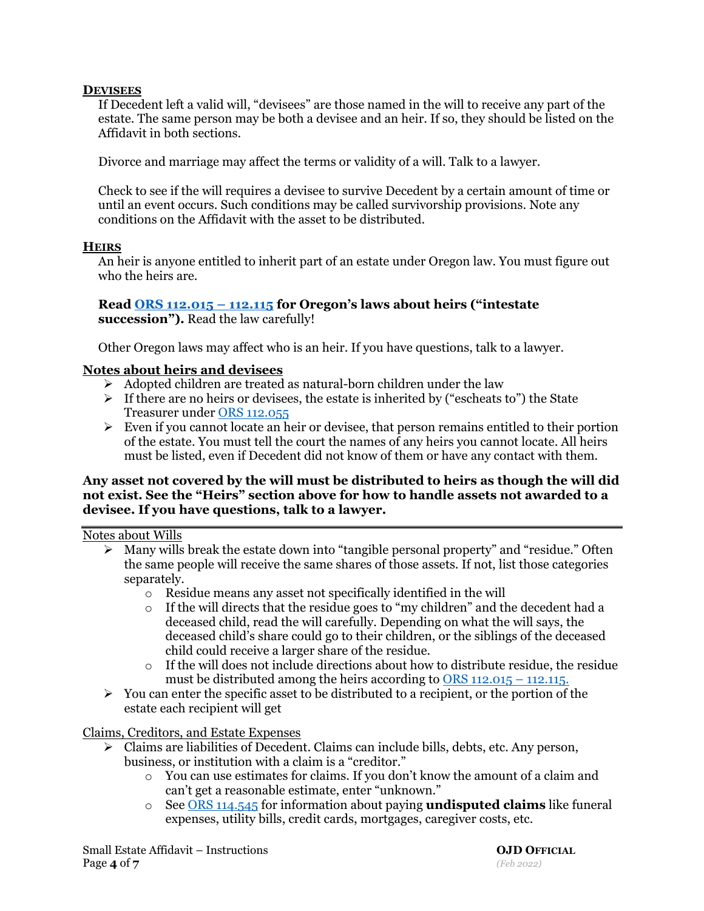### **DEVISEES**

If Decedent left a valid will, "devisees" are those named in the will to receive any part of the estate. The same person may be both a devisee and an heir. If so, they should be listed on the Affidavit in both sections.

Divorce and marriage may affect the terms or validity of a will. Talk to a lawyer.

Check to see if the will requires a devisee to survive Decedent by a certain amount of time or until an event occurs. Such conditions may be called survivorship provisions. Note any conditions on the Affidavit with the asset to be distributed.

### **HEIRS**

An heir is anyone entitled to inherit part of an estate under Oregon law. You must figure out who the heirs are.

### **Read [ORS 112.015 –](https://www.oregonlegislature.gov/bills_laws/ors/ors112.html) 112.115 for Oregon's laws about heirs ("intestate succession").** Read the law carefully!

Other Oregon laws may affect who is an heir. If you have questions, talk to a lawyer.

### **Notes about heirs and devisees**

- $\triangleright$  Adopted children are treated as natural-born children under the law
- $\triangleright$  If there are no heirs or devisees, the estate is inherited by ("escheats to") the State Treasurer under [ORS 112.055](https://www.oregonlegislature.gov/bills_laws/ors/ors112.html)
- $\triangleright$  Even if you cannot locate an heir or devisee, that person remains entitled to their portion of the estate. You must tell the court the names of any heirs you cannot locate. All heirs must be listed, even if Decedent did not know of them or have any contact with them.

### **Any asset not covered by the will must be distributed to heirs as though the will did not exist. See the "Heirs" section above for how to handle assets not awarded to a devisee. If you have questions, talk to a lawyer.**

### Notes about Wills

- $\triangleright$  Many wills break the estate down into "tangible personal property" and "residue." Often the same people will receive the same shares of those assets. If not, list those categories separately.
	- o Residue means any asset not specifically identified in the will
	- o If the will directs that the residue goes to "my children" and the decedent had a deceased child, read the will carefully. Depending on what the will says, the deceased child's share could go to their children, or the siblings of the deceased child could receive a larger share of the residue.
	- $\circ$  If the will does not include directions about how to distribute residue, the residue must be distributed among the heirs according to [ORS 112.015 –](https://www.oregonlegislature.gov/bills_laws/ors/ors112.html) 112.115.
- $\triangleright$  You can enter the specific asset to be distributed to a recipient, or the portion of the estate each recipient will get

Claims, Creditors, and Estate Expenses

- $\triangleright$  Claims are liabilities of Decedent. Claims can include bills, debts, etc. Any person, business, or institution with a claim is a "creditor."
	- o You can use estimates for claims. If you don't know the amount of a claim and can't get a reasonable estimate, enter "unknown."
	- o See [ORS 114.545](https://www.oregonlegislature.gov/bills_laws/ors/ors114.html) for information about paying **undisputed claims** like funeral expenses, utility bills, credit cards, mortgages, caregiver costs, etc.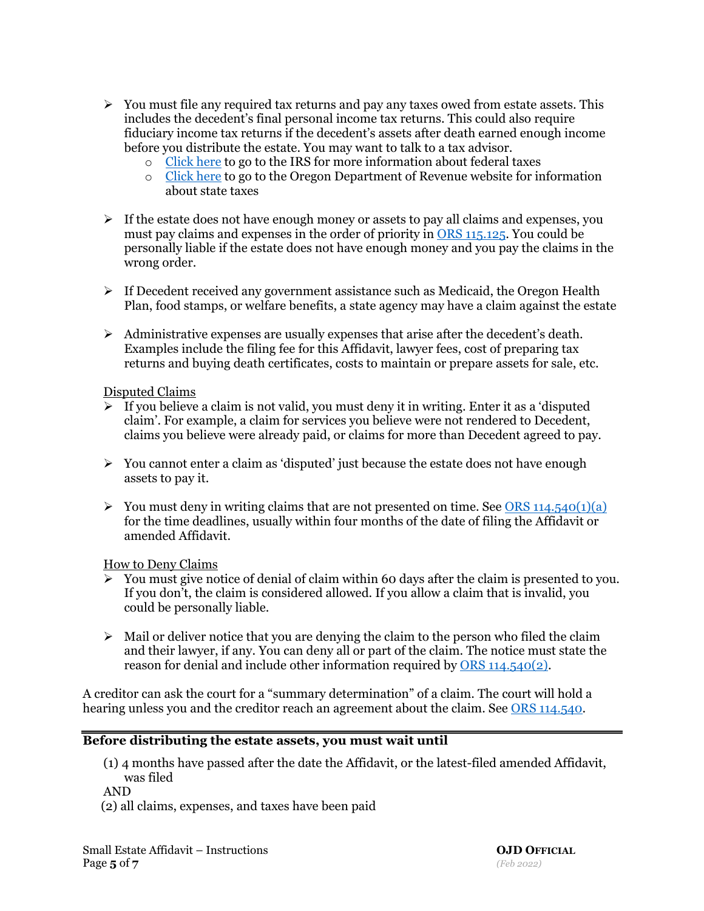- $\triangleright$  You must file any required tax returns and pay any taxes owed from estate assets. This includes the decedent's final personal income tax returns. This could also require fiduciary income tax returns if the decedent's assets after death earned enough income before you distribute the estate. You may want to talk to a tax advisor.
	- o [Click here](https://www.irs.gov/businesses/small-businesses-self-employed/deceased-taxpayers-filing-the-estate-income-tax-return-form-1041) to go to the IRS for more information about federal taxes
	- o [Click here](https://www.oregon.gov/dor/programs/individuals/pages/estate.aspx) to go to the Oregon Department of Revenue website for information about state taxes
- $\triangleright$  If the estate does not have enough money or assets to pay all claims and expenses, you must pay claims and expenses in the order of priority in [ORS 115.125.](https://www.oregonlegislature.gov/bills_laws/ors/ors115.html) You could be personally liable if the estate does not have enough money and you pay the claims in the wrong order.
- $\triangleright$  If Decedent received any government assistance such as Medicaid, the Oregon Health Plan, food stamps, or welfare benefits, a state agency may have a claim against the estate
- $\triangleright$  Administrative expenses are usually expenses that arise after the decedent's death. Examples include the filing fee for this Affidavit, lawyer fees, cost of preparing tax returns and buying death certificates, costs to maintain or prepare assets for sale, etc.

### Disputed Claims

- $\triangleright$  If you believe a claim is not valid, you must deny it in writing. Enter it as a 'disputed claim'. For example, a claim for services you believe were not rendered to Decedent, claims you believe were already paid, or claims for more than Decedent agreed to pay.
- $\triangleright$  You cannot enter a claim as 'disputed' just because the estate does not have enough assets to pay it.
- $\triangleright$  You must deny in writing claims that are not presented on time. See [ORS 114.540\(1\)\(a\)](https://www.oregonlegislature.gov/bills_laws/ors/ors114.html) for the time deadlines, usually within four months of the date of filing the Affidavit or amended Affidavit.

### How to Deny Claims

- $\triangleright$  You must give notice of denial of claim within 60 days after the claim is presented to you. If you don't, the claim is considered allowed. If you allow a claim that is invalid, you could be personally liable.
- $\triangleright$  Mail or deliver notice that you are denying the claim to the person who filed the claim and their lawyer, if any. You can deny all or part of the claim. The notice must state the reason for denial and include other information required by [ORS 114.540\(2\).](https://www.oregonlegislature.gov/bills_laws/ors/ors114.html)

A creditor can ask the court for a "summary determination" of a claim. The court will hold a hearing unless you and the creditor reach an agreement about the claim. See [ORS 114.540.](https://www.oregonlegislature.gov/bills_laws/ors/ors114.html)

### **Before distributing the estate assets, you must wait until**

(1) 4 months have passed after the date the Affidavit, or the latest-filed amended Affidavit, was filed

AND

(2) all claims, expenses, and taxes have been paid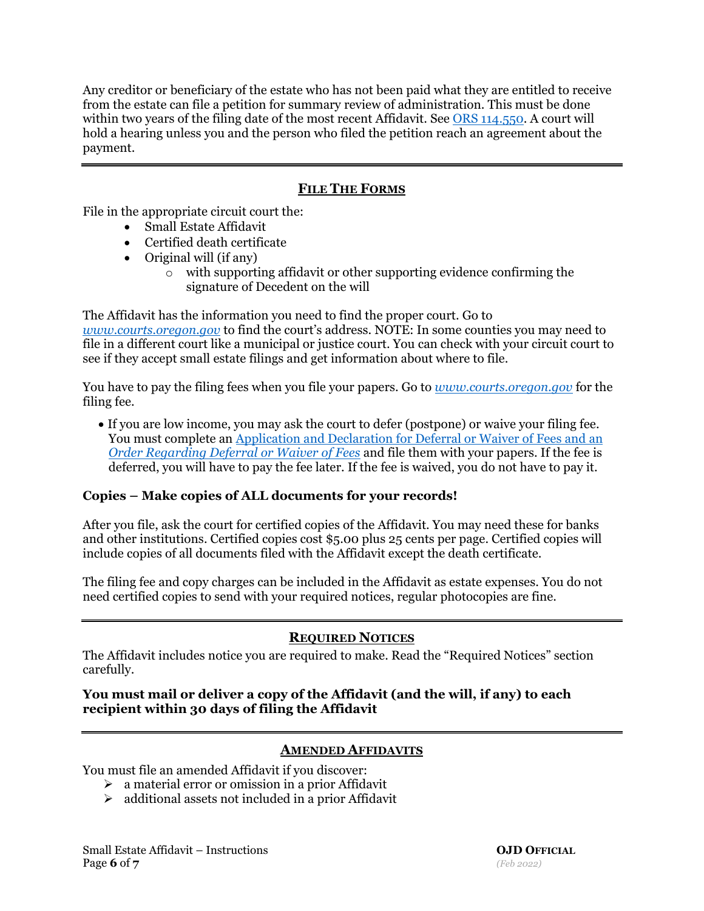Any creditor or beneficiary of the estate who has not been paid what they are entitled to receive from the estate can file a petition for summary review of administration. This must be done within two years of the filing date of the most recent Affidavit. See [ORS 114.550.](https://www.oregonlegislature.gov/bills_laws/ors/ors114.html) A court will hold a hearing unless you and the person who filed the petition reach an agreement about the payment.

# **FILE THE FORMS**

File in the appropriate circuit court the:

- Small Estate Affidavit
- Certified death certificate
- Original will (if any)
	- o with supporting affidavit or other supporting evidence confirming the signature of Decedent on the will

The Affidavit has the information you need to find the proper court. Go to *[www.courts.oregon.gov](http://www.courts.oregon.gov/)* to find the court's address. NOTE: In some counties you may need to file in a different court like a municipal or justice court. You can check with your circuit court to see if they accept small estate filings and get information about where to file.

You have to pay the filing fees when you file your papers. Go to *[www.courts.oregon.gov](http://www.courts.oregon.gov/)* for the filing fee.

• If you are low income, you may ask the court to defer (postpone) or waive your filing fee. You must complete an [Application and Declaration for Deferral or Waiver of Fees](https://www.courts.oregon.gov/forms/Pages/fee-waiver.aspx) and an *[Order Regarding Deferral or Waiver of Fees](https://www.courts.oregon.gov/forms/Pages/fee-waiver.aspx)* and file them with your papers. If the fee is deferred, you will have to pay the fee later. If the fee is waived, you do not have to pay it.

## **Copies – Make copies of ALL documents for your records!**

After you file, ask the court for certified copies of the Affidavit. You may need these for banks and other institutions. Certified copies cost \$5.00 plus 25 cents per page. Certified copies will include copies of all documents filed with the Affidavit except the death certificate.

The filing fee and copy charges can be included in the Affidavit as estate expenses. You do not need certified copies to send with your required notices, regular photocopies are fine.

## **REQUIRED NOTICES**

The Affidavit includes notice you are required to make. Read the "Required Notices" section carefully.

## **You must mail or deliver a copy of the Affidavit (and the will, if any) to each recipient within 30 days of filing the Affidavit**

# **AMENDED AFFIDAVITS**

You must file an amended Affidavit if you discover:

- $\triangleright$  a material error or omission in a prior Affidavit
- $\triangleright$  additional assets not included in a prior Affidavit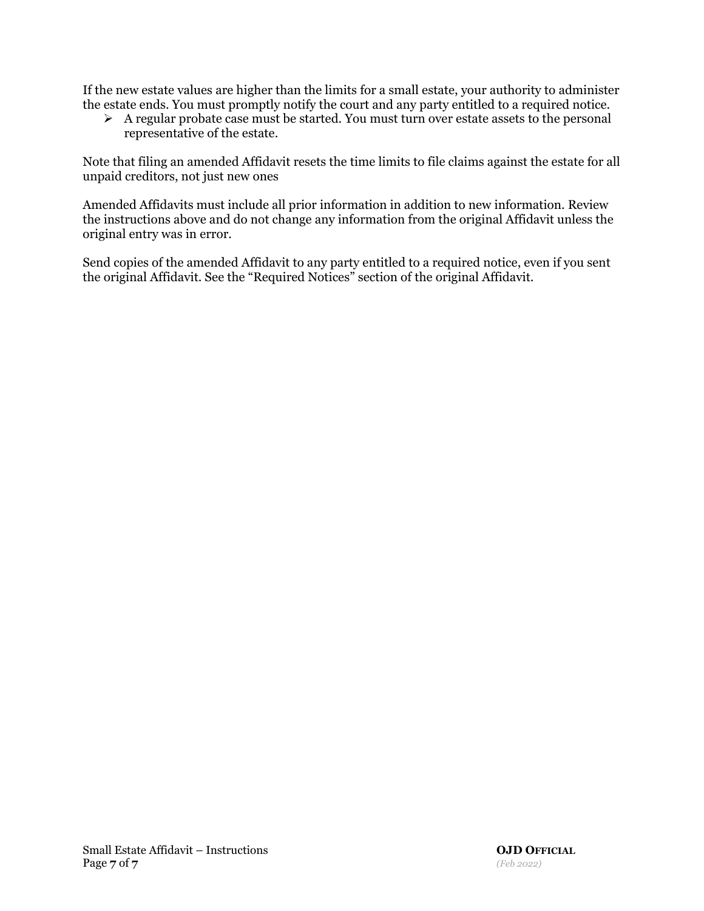If the new estate values are higher than the limits for a small estate, your authority to administer the estate ends. You must promptly notify the court and any party entitled to a required notice.

 $\triangleright$  A regular probate case must be started. You must turn over estate assets to the personal representative of the estate.

Note that filing an amended Affidavit resets the time limits to file claims against the estate for all unpaid creditors, not just new ones

Amended Affidavits must include all prior information in addition to new information. Review the instructions above and do not change any information from the original Affidavit unless the original entry was in error.

Send copies of the amended Affidavit to any party entitled to a required notice, even if you sent the original Affidavit. See the "Required Notices" section of the original Affidavit.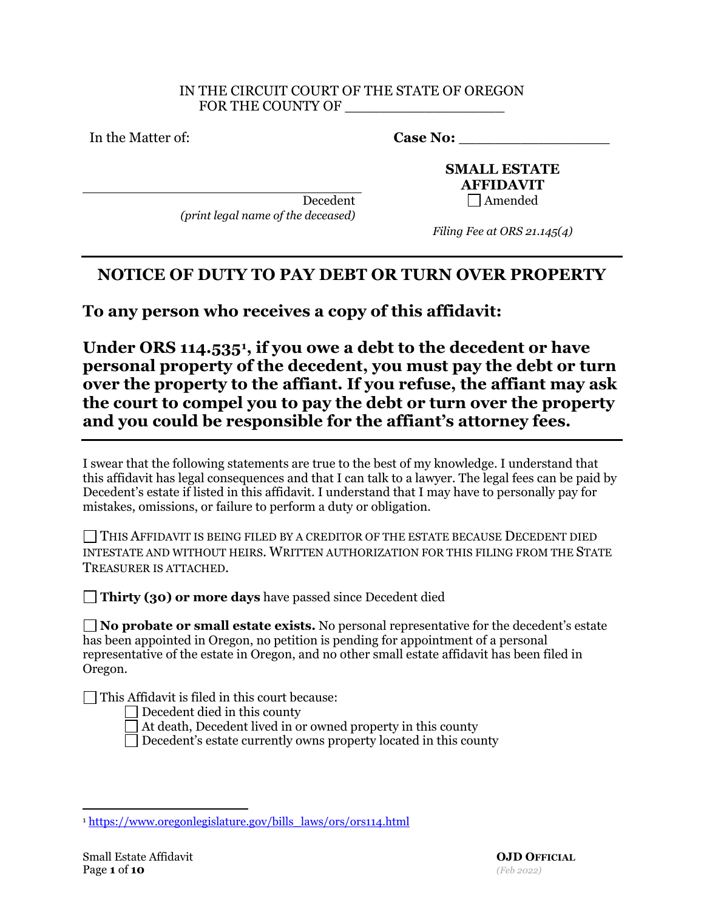### IN THE CIRCUIT COURT OF THE STATE OF OREGON FOR THE COUNTY OF

In the Matter of: **Case No: Case No:** 

**SMALL ESTATE AFFIDAVIT**  $Decedent$  Amended

*(print legal name of the deceased)*

*Filing Fee at ORS 21.145(4)* 

# **NOTICE OF DUTY TO PAY DEBT OR TURN OVER PROPERTY**

**To any person who receives a copy of this affidavit:**

**Under ORS 114.535[1,](#page-7-0) if you owe a debt to the decedent or have personal property of the decedent, you must pay the debt or turn over the property to the affiant. If you refuse, the affiant may ask the court to compel you to pay the debt or turn over the property and you could be responsible for the affiant's attorney fees.**

I swear that the following statements are true to the best of my knowledge. I understand that this affidavit has legal consequences and that I can talk to a lawyer. The legal fees can be paid by Decedent's estate if listed in this affidavit. I understand that I may have to personally pay for mistakes, omissions, or failure to perform a duty or obligation.

THIS AFFIDAVIT IS BEING FILED BY A CREDITOR OF THE ESTATE BECAUSE DECEDENT DIED INTESTATE AND WITHOUT HEIRS. WRITTEN AUTHORIZATION FOR THIS FILING FROM THE STATE TREASURER IS ATTACHED.

**Thirty (30) or more days** have passed since Decedent died

**No probate or small estate exists.** No personal representative for the decedent's estate has been appointed in Oregon, no petition is pending for appointment of a personal representative of the estate in Oregon, and no other small estate affidavit has been filed in Oregon.

 $\Box$  This Affidavit is filed in this court because:

 $\Box$  Decedent died in this county

At death, Decedent lived in or owned property in this county

Decedent's estate currently owns property located in this county

<span id="page-7-0"></span><sup>1</sup> [https://www.oregonlegislature.gov/bills\\_laws/ors/ors114.html](https://www.oregonlegislature.gov/bills_laws/ors/ors114.html)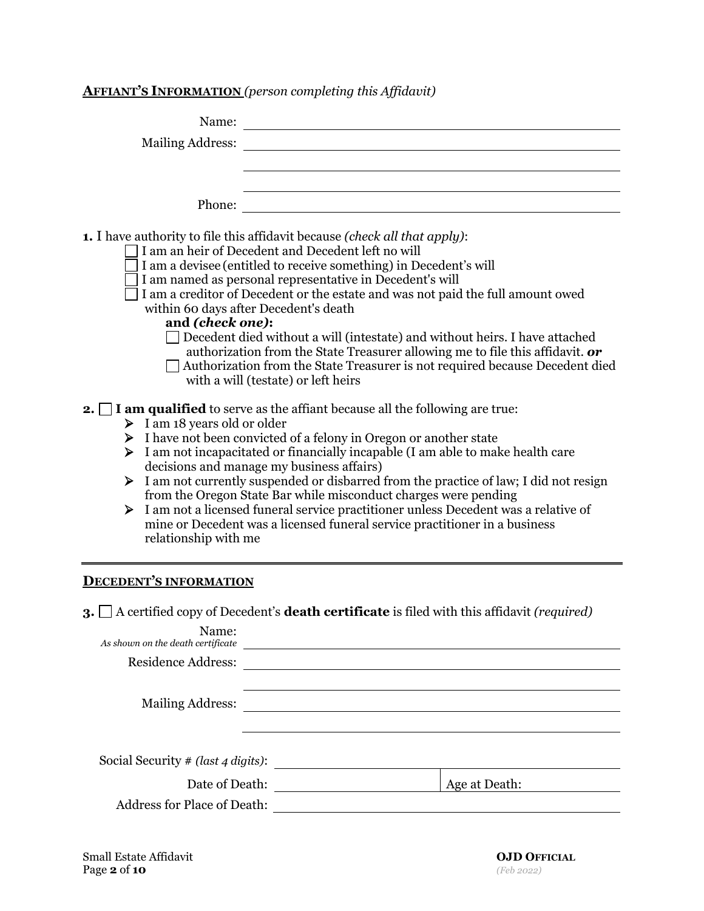# **AFFIANT'S INFORMATION** *(person completing this Affidavit)*

| <b>Mailing Address:</b><br>Phone:<br>1. I have authority to file this affidavit because (check all that apply):<br>I am an heir of Decedent and Decedent left no will<br>I am a devisee (entitled to receive something) in Decedent's will<br>I am named as personal representative in Decedent's will                                                                                                                                                                                                                                                                                                                                                                                                                                                                                                                                                                                                                                                                                                                                                                                                                                                                |
|-----------------------------------------------------------------------------------------------------------------------------------------------------------------------------------------------------------------------------------------------------------------------------------------------------------------------------------------------------------------------------------------------------------------------------------------------------------------------------------------------------------------------------------------------------------------------------------------------------------------------------------------------------------------------------------------------------------------------------------------------------------------------------------------------------------------------------------------------------------------------------------------------------------------------------------------------------------------------------------------------------------------------------------------------------------------------------------------------------------------------------------------------------------------------|
|                                                                                                                                                                                                                                                                                                                                                                                                                                                                                                                                                                                                                                                                                                                                                                                                                                                                                                                                                                                                                                                                                                                                                                       |
|                                                                                                                                                                                                                                                                                                                                                                                                                                                                                                                                                                                                                                                                                                                                                                                                                                                                                                                                                                                                                                                                                                                                                                       |
| I am a creditor of Decedent or the estate and was not paid the full amount owed<br>within 60 days after Decedent's death<br>and (check one):<br>Decedent died without a will (intestate) and without heirs. I have attached<br>authorization from the State Treasurer allowing me to file this affidavit. or<br>□ Authorization from the State Treasurer is not required because Decedent died<br>with a will (testate) or left heirs<br><b>2.</b> $\Box$ <b>I</b> am qualified to serve as the affiant because all the following are true:<br>$\triangleright$ I am 18 years old or older<br>> I have not been convicted of a felony in Oregon or another state<br>I am not incapacitated or financially incapable (I am able to make health care<br>➤<br>decisions and manage my business affairs)<br>I am not currently suspended or disbarred from the practice of law; I did not resign<br>➤<br>from the Oregon State Bar while misconduct charges were pending<br>I am not a licensed funeral service practitioner unless Decedent was a relative of<br>➤<br>mine or Decedent was a licensed funeral service practitioner in a business<br>relationship with me |

# **DECEDENT'S INFORMATION**

**3.** A certified copy of Decedent's **death certificate** is filed with this affidavit *(required)*

| Name:<br>As shown on the death certificate |               |  |
|--------------------------------------------|---------------|--|
| <b>Residence Address:</b>                  |               |  |
|                                            |               |  |
| <b>Mailing Address:</b>                    |               |  |
|                                            |               |  |
|                                            |               |  |
| Social Security # (last 4 digits):         |               |  |
| Date of Death:                             | Age at Death: |  |
| <b>Address for Place of Death:</b>         |               |  |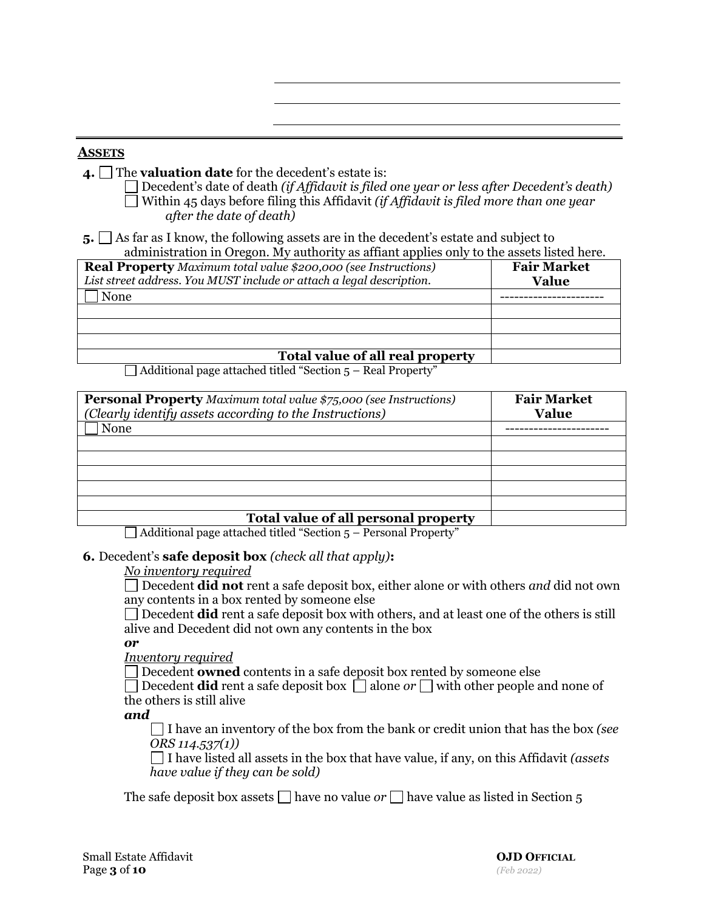### **ASSETS**

- **4.** The **valuation date** for the decedent's estate is:
	- Decedent's date of death *(if Affidavit is filed one year or less after Decedent's death)* Within 45 days before filing this Affidavit *(if Affidavit is filed more than one year after the date of death)*

**5.** As far as I know, the following assets are in the decedent's estate and subject to administration in Oregon. My authority as affiant applies only to the assets listed here.

| <b>Real Property</b> Maximum total value \$200,000 (see Instructions)<br>List street address. You MUST include or attach a legal description. | <b>Fair Market</b><br>Value |
|-----------------------------------------------------------------------------------------------------------------------------------------------|-----------------------------|
| None                                                                                                                                          |                             |
|                                                                                                                                               |                             |
|                                                                                                                                               |                             |
|                                                                                                                                               |                             |
| Total value of all real property                                                                                                              |                             |

 $\Box$  Additional page attached titled "Section  $5$  – Real Property"

| <b>Personal Property</b> Maximum total value \$75,000 (see Instructions)<br>(Clearly identify assets according to the Instructions) | <b>Fair Market</b><br><b>Value</b> |
|-------------------------------------------------------------------------------------------------------------------------------------|------------------------------------|
| None                                                                                                                                |                                    |
|                                                                                                                                     |                                    |
|                                                                                                                                     |                                    |
|                                                                                                                                     |                                    |
|                                                                                                                                     |                                    |
|                                                                                                                                     |                                    |
| Total value of all personal property                                                                                                |                                    |

 $\Box$  Additional page attached titled "Section 5 – Personal Property"

### **6.** Decedent's **safe deposit box** *(check all that apply)***:**

### *No inventory required*

Decedent **did not** rent a safe deposit box, either alone or with others *and* did not own any contents in a box rented by someone else

Decedent **did** rent a safe deposit box with others, and at least one of the others is still alive and Decedent did not own any contents in the box

*or*

*Inventory required*

Decedent **owned** contents in a safe deposit box rented by someone else

Decedent **did** rent a safe deposit box  $\Box$  alone *or*  $\Box$  with other people and none of the others is still alive

*and*

I have an inventory of the box from the bank or credit union that has the box *(see ORS 114.537(1))*

I have listed all assets in the box that have value, if any, on this Affidavit *(assets have value if they can be sold)*

The safe deposit box assets  $\Box$  have no value *or*  $\Box$  have value as listed in Section 5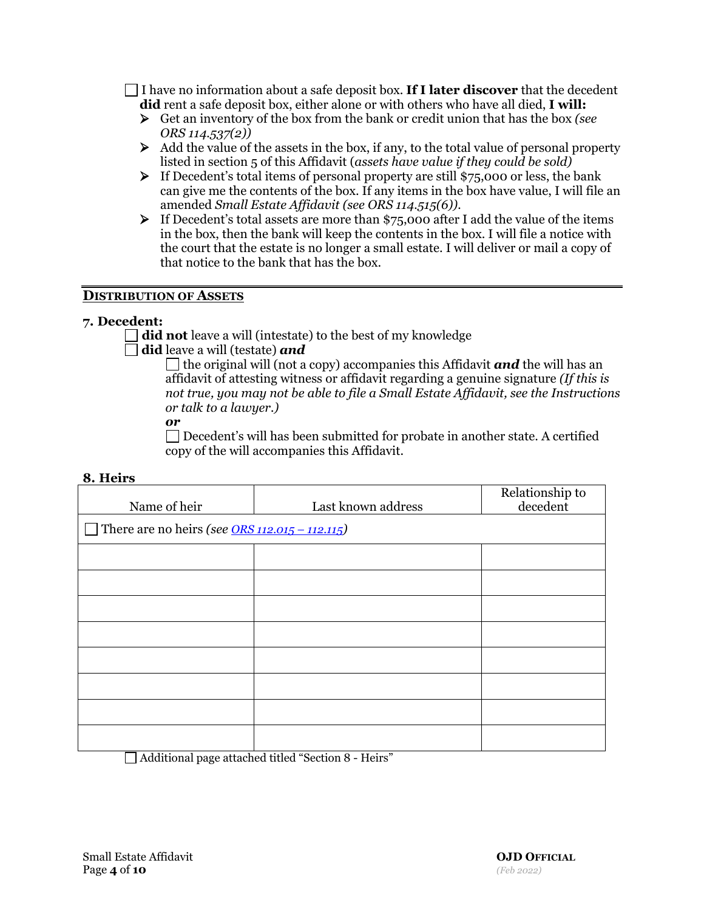I have no information about a safe deposit box. **If I later discover** that the decedent **did** rent a safe deposit box, either alone or with others who have all died, **I will:**

- Get an inventory of the box from the bank or credit union that has the box *(see ORS 114.537(2))*
- $\triangleright$  Add the value of the assets in the box, if any, to the total value of personal property listed in section 5 of this Affidavit (*assets have value if they could be sold)*
- $\triangleright$  If Decedent's total items of personal property are still \$75,000 or less, the bank can give me the contents of the box. If any items in the box have value, I will file an amended *Small Estate Affidavit (see ORS 114.515(6)).*
- $\triangleright$  If Decedent's total assets are more than \$75,000 after I add the value of the items in the box, then the bank will keep the contents in the box. I will file a notice with the court that the estate is no longer a small estate. I will deliver or mail a copy of that notice to the bank that has the box.

## **DISTRIBUTION OF ASSETS**

## **7. Decedent:**

did not leave a will (intestate) to the best of my knowledge

**did** leave a will (testate) *and*

the original will (not a copy) accompanies this Affidavit *and* the will has an affidavit of attesting witness or affidavit regarding a genuine signature *(If this is not true, you may not be able to file a Small Estate Affidavit, see the Instructions or talk to a lawyer.)*

### *or*

Decedent's will has been submitted for probate in another state. A certified copy of the will accompanies this Affidavit.

| 8. Heirs |  |
|----------|--|
|----------|--|

|                                                             |                    | Relationship to |
|-------------------------------------------------------------|--------------------|-----------------|
| Name of heir                                                | Last known address | decedent        |
| There are no heirs (see $\overline{ORS}$ 112.015 – 112.115) |                    |                 |
|                                                             |                    |                 |
|                                                             |                    |                 |
|                                                             |                    |                 |
|                                                             |                    |                 |
|                                                             |                    |                 |
|                                                             |                    |                 |
|                                                             |                    |                 |
|                                                             |                    |                 |

Additional page attached titled "Section 8 - Heirs"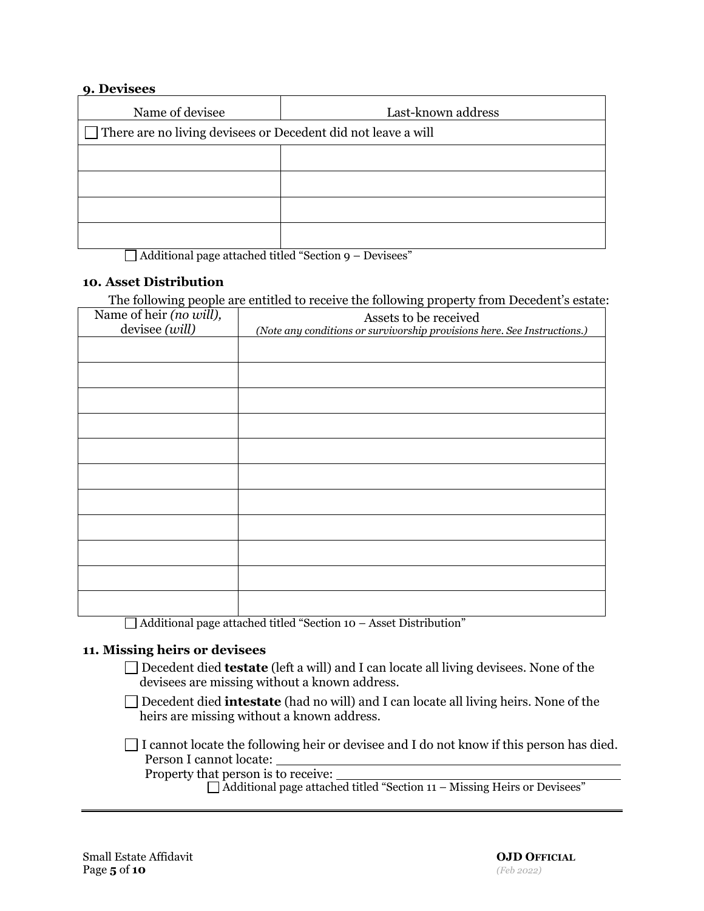### **9. Devisees**

| Name of devisee                                                      | Last-known address |  |  |
|----------------------------------------------------------------------|--------------------|--|--|
| $\Box$ There are no living devisees or Decedent did not leave a will |                    |  |  |
|                                                                      |                    |  |  |
|                                                                      |                    |  |  |
|                                                                      |                    |  |  |
|                                                                      |                    |  |  |

 $\Box$  Additional page attached titled "Section 9 – Devisees"

## **10. Asset Distribution**

The following people are entitled to receive the following property from Decedent's estate:

| Name of heir (no will),<br>devisee (will) | Assets to be received<br>(Note any conditions or survivorship provisions here. See Instructions.) |  |
|-------------------------------------------|---------------------------------------------------------------------------------------------------|--|
|                                           |                                                                                                   |  |
|                                           |                                                                                                   |  |
|                                           |                                                                                                   |  |
|                                           |                                                                                                   |  |
|                                           |                                                                                                   |  |
|                                           |                                                                                                   |  |
|                                           |                                                                                                   |  |
|                                           |                                                                                                   |  |
|                                           |                                                                                                   |  |
|                                           |                                                                                                   |  |
|                                           |                                                                                                   |  |

Additional page attached titled "Section 10 – Asset Distribution"

### **11. Missing heirs or devisees**

□ Decedent died **testate** (left a will) and I can locate all living devisees. None of the devisees are missing without a known address.

□ Decedent died **intestate** (had no will) and I can locate all living heirs. None of the heirs are missing without a known address.

 $\Box$  I cannot locate the following heir or devisee and I do not know if this person has died. Person I cannot locate:

Property that person is to receive:

 $\Box$  Additional page attached titled "Section 11 – Missing Heirs or Devisees"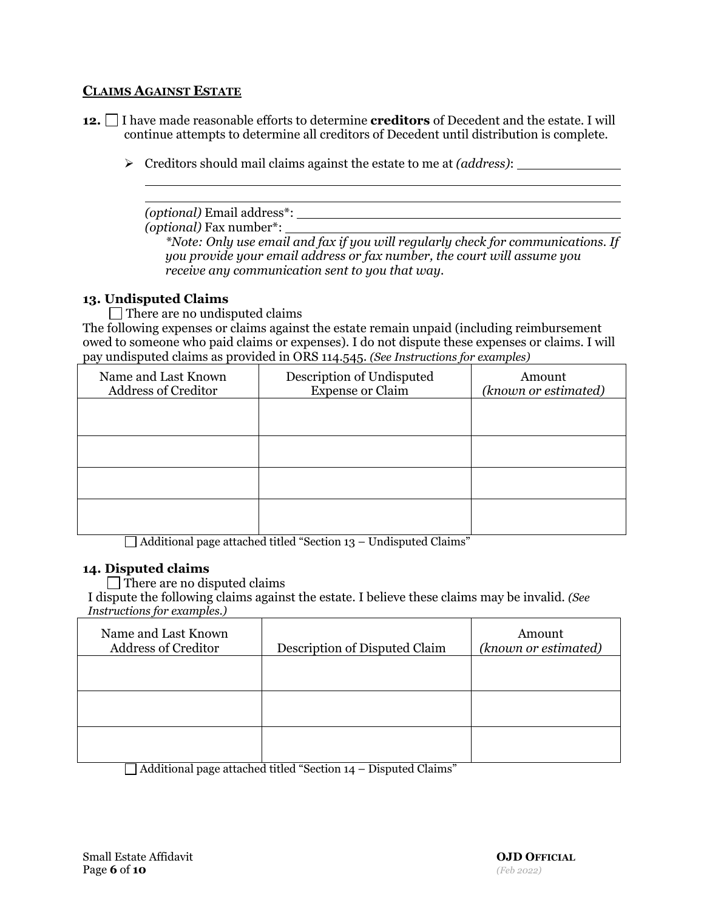## **CLAIMS AGAINST ESTATE**

- **12.** I have made reasonable efforts to determine **creditors** of Decedent and the estate. I will continue attempts to determine all creditors of Decedent until distribution is complete.
	- Creditors should mail claims against the estate to me at *(address)*:

*(optional)* Email address\*:

*(optional)* Fax number\*:

*\*Note: Only use email and fax if you will regularly check for communications. If you provide your email address or fax number, the court will assume you receive any communication sent to you that way.* 

## **13. Undisputed Claims**

 $\Box$  There are no undisputed claims

The following expenses or claims against the estate remain unpaid (including reimbursement owed to someone who paid claims or expenses). I do not dispute these expenses or claims. I will pay undisputed claims as provided in ORS 114.545. *(See Instructions for examples)*

| Name and Last Known<br><b>Address of Creditor</b> | Description of Undisputed<br><b>Expense or Claim</b> | Amount<br>(known or estimated) |
|---------------------------------------------------|------------------------------------------------------|--------------------------------|
|                                                   |                                                      |                                |
|                                                   |                                                      |                                |
|                                                   |                                                      |                                |
|                                                   |                                                      |                                |

 $\Box$  Additional page attached titled "Section 13 – Undisputed Claims"

### **14. Disputed claims**

 $\Box$  There are no disputed claims

I dispute the following claims against the estate. I believe these claims may be invalid. *(See Instructions for examples.)*

| Name and Last Known<br><b>Address of Creditor</b> | Description of Disputed Claim | Amount<br>(known or estimated) |
|---------------------------------------------------|-------------------------------|--------------------------------|
|                                                   |                               |                                |
|                                                   |                               |                                |
| __                                                |                               |                                |

 $\Box$  Additional page attached titled "Section 14 – Disputed Claims"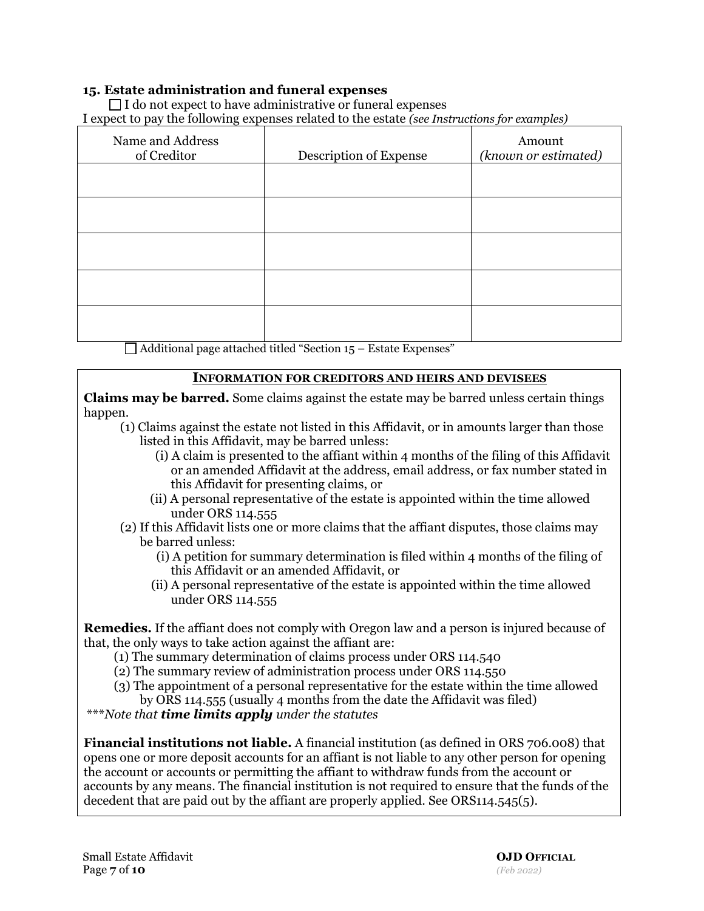## **15. Estate administration and funeral expenses**

 $\Box$  I do not expect to have administrative or funeral expenses I expect to pay the following expenses related to the estate *(see Instructions for examples)*

| Name and Address<br>of Creditor | Description of Expense | Amount<br>(known or estimated) |
|---------------------------------|------------------------|--------------------------------|
|                                 |                        |                                |
|                                 |                        |                                |
|                                 |                        |                                |
|                                 |                        |                                |
|                                 |                        |                                |

 $\Box$  Additional page attached titled "Section 15 – Estate Expenses"

### **INFORMATION FOR CREDITORS AND HEIRS AND DEVISEES**

**Claims may be barred.** Some claims against the estate may be barred unless certain things happen.

- (1) Claims against the estate not listed in this Affidavit, or in amounts larger than those listed in this Affidavit, may be barred unless:
	- (i) A claim is presented to the affiant within 4 months of the filing of this Affidavit or an amended Affidavit at the address, email address, or fax number stated in this Affidavit for presenting claims, or
	- (ii) A personal representative of the estate is appointed within the time allowed under ORS 114.555
- (2) If this Affidavit lists one or more claims that the affiant disputes, those claims may be barred unless:
	- (i) A petition for summary determination is filed within 4 months of the filing of this Affidavit or an amended Affidavit, or
	- (ii) A personal representative of the estate is appointed within the time allowed under ORS 114.555

**Remedies.** If the affiant does not comply with Oregon law and a person is injured because of that, the only ways to take action against the affiant are:

- (1) The summary determination of claims process under ORS 114.540
- (2) The summary review of administration process under ORS 114.550
- (3) The appointment of a personal representative for the estate within the time allowed by ORS 114.555 (usually 4 months from the date the Affidavit was filed)

\*\*\**Note that time limits apply under the statutes*

**Financial institutions not liable.** A financial institution (as defined in ORS 706.008) that opens one or more deposit accounts for an affiant is not liable to any other person for opening the account or accounts or permitting the affiant to withdraw funds from the account or accounts by any means. The financial institution is not required to ensure that the funds of the decedent that are paid out by the affiant are properly applied. See ORS114.545(5).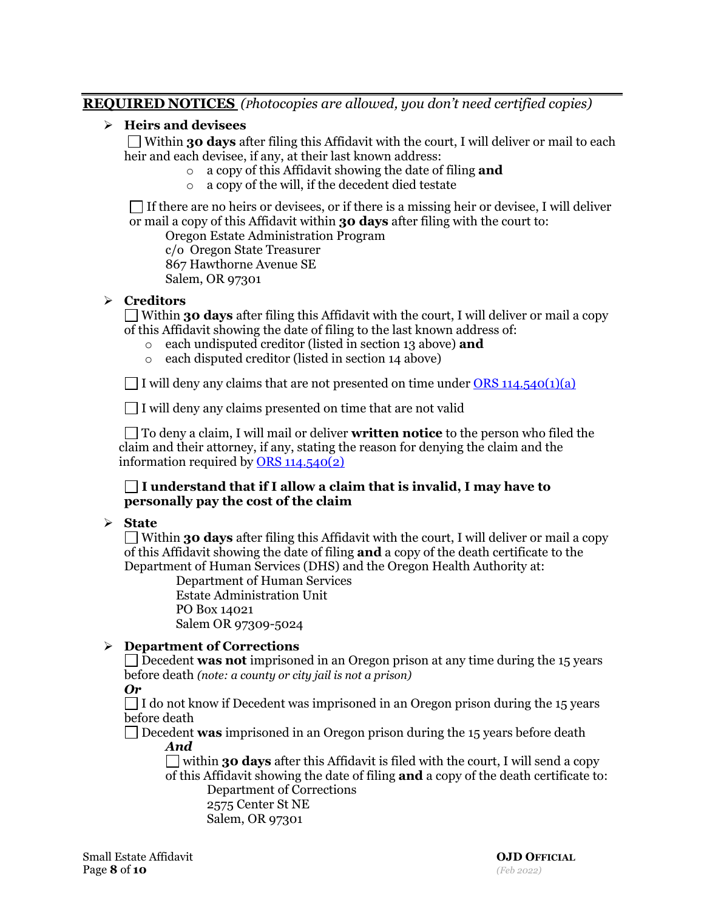## **REQUIRED NOTICES** *(Photocopies are allowed, you don't need certified copies)*

## **Heirs and devisees**

Within **30 days** after filing this Affidavit with the court, I will deliver or mail to each heir and each devisee, if any, at their last known address:

- o a copy of this Affidavit showing the date of filing **and**
- o a copy of the will, if the decedent died testate

 $\Box$  If there are no heirs or devisees, or if there is a missing heir or devisee, I will deliver or mail a copy of this Affidavit within **30 days** after filing with the court to:

Oregon Estate Administration Program

c/o Oregon State Treasurer

867 Hawthorne Avenue SE

Salem, OR 97301

## **Creditors**

Within **30 days** after filing this Affidavit with the court, I will deliver or mail a copy of this Affidavit showing the date of filing to the last known address of:

- o each undisputed creditor (listed in section 13 above) **and**
- o each disputed creditor (listed in section 14 above)

I will deny any claims that are not presented on time under ORS  $114.540(1)(a)$ 

 $\Box$  I will deny any claims presented on time that are not valid

To deny a claim, I will mail or deliver **written notice** to the person who filed the claim and their attorney, if any, stating the reason for denying the claim and the information required by  $ORS 114.540(2)$ </u>

## **I understand that if I allow a claim that is invalid, I may have to personally pay the cost of the claim**

## **State**

Within **30 days** after filing this Affidavit with the court, I will deliver or mail a copy of this Affidavit showing the date of filing **and** a copy of the death certificate to the Department of Human Services (DHS) and the Oregon Health Authority at:

Department of Human Services Estate Administration Unit PO Box 14021 Salem OR 97309-5024

## **Department of Corrections**

Decedent **was not** imprisoned in an Oregon prison at any time during the 15 years before death *(note: a county or city jail is not a prison)*

# *Or*

 $\Box$  I do not know if Decedent was imprisoned in an Oregon prison during the 15 years before death

Decedent **was** imprisoned in an Oregon prison during the 15 years before death *And*

within **30 days** after this Affidavit is filed with the court, I will send a copy of this Affidavit showing the date of filing **and** a copy of the death certificate to: Department of Corrections

2575 Center St NE Salem, OR 97301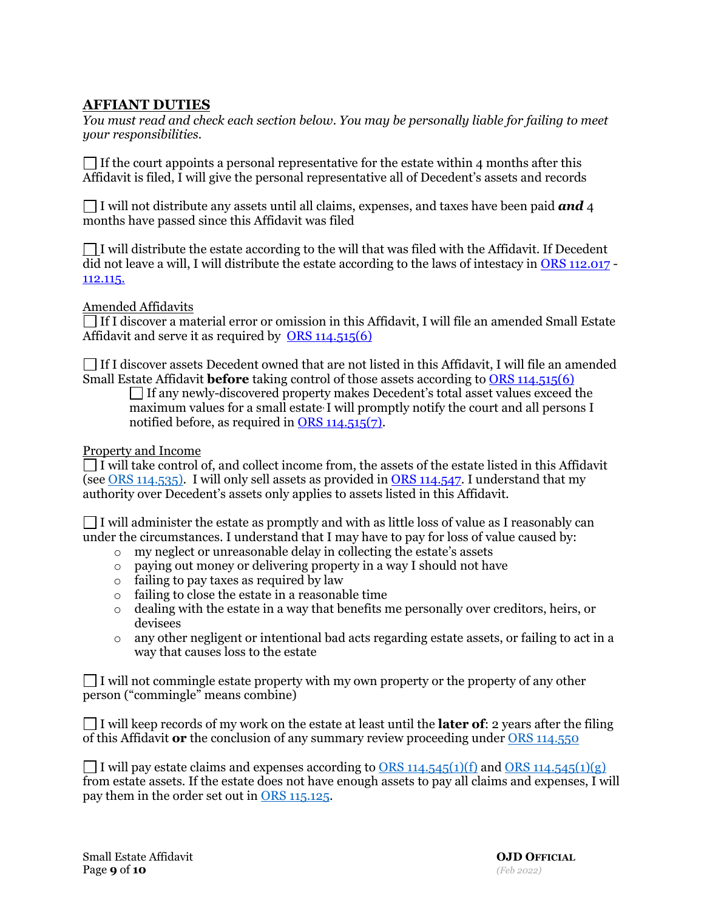# **AFFIANT DUTIES**

*You must read and check each section below. You may be personally liable for failing to meet your responsibilities.*

 $\Box$  If the court appoints a personal representative for the estate within 4 months after this Affidavit is filed, I will give the personal representative all of Decedent's assets and records

I will not distribute any assets until all claims, expenses, and taxes have been paid *and* 4 months have passed since this Affidavit was filed

 $\Box$  I will distribute the estate according to the will that was filed with the Affidavit. If Decedent did not leave a will, I will distribute the estate according to the laws of intestacy in [ORS 112.017](https://www.oregonlegislature.gov/bills_laws/ors/ors112.html) - [112.115.](https://www.oregonlegislature.gov/bills_laws/ors/ors112.html)

Amended Affidavits

 $\Box$  If I discover a material error or omission in this Affidavit, I will file an amended Small Estate Affidavit and serve it as required by [ORS 114.515\(6\)](https://www.oregonlegislature.gov/bills_laws/ors/ors114.html)

 $\Box$  If I discover assets Decedent owned that are not listed in this Affidavit, I will file an amended Small Estate Affidavit **before** taking control of those assets according to [ORS 114.515\(6\)](https://www.oregonlegislature.gov/bills_laws/ors/ors114.html)

 $\Box$  If any newly-discovered property makes Decedent's total asset values exceed the maximum values for a small estate, I will promptly notify the court and all persons I notified before, as required in [ORS 114.515\(7\).](https://www.oregonlegislature.gov/bills_laws/ors/ors114.html)

Property and Income

 $\Box$  I will take control of, and collect income from, the assets of the estate listed in this Affidavit (see [ORS 114.535\)](https://www.oregonlegislature.gov/bills_laws/ors/ors114.html). I will only sell assets as provided in [ORS 114.547.](https://www.oregonlegislature.gov/bills_laws/ors/ors114.html) I understand that my authority over Decedent's assets only applies to assets listed in this Affidavit.

 $\Box$  I will administer the estate as promptly and with as little loss of value as I reasonably can under the circumstances. I understand that I may have to pay for loss of value caused by:

- o my neglect or unreasonable delay in collecting the estate's assets
- o paying out money or delivering property in a way I should not have
- o failing to pay taxes as required by law
- o failing to close the estate in a reasonable time
- $\circ$  dealing with the estate in a way that benefits me personally over creditors, heirs, or devisees
- $\circ$  any other negligent or intentional bad acts regarding estate assets, or failing to act in a way that causes loss to the estate

 $\Box$  I will not commingle estate property with my own property or the property of any other person ("commingle" means combine)

 $\Box$  I will keep records of my work on the estate at least until the **later of**: 2 years after the filing of this Affidavit **or** the conclusion of any summary review proceeding under [ORS 114.550](https://www.oregonlegislature.gov/bills_laws/ors/ors114.html)

I will pay estate claims and expenses according to [ORS 114.545\(1\)\(f\)](https://www.oregonlegislature.gov/bills_laws/ors/ors114.html) and [ORS 114.545\(1\)\(g\)](https://www.oregonlegislature.gov/bills_laws/ors/ors114.html) from estate assets. If the estate does not have enough assets to pay all claims and expenses, I will pay them in the order set out in [ORS 115.125.](https://www.oregonlegislature.gov/bills_laws/ors/ors115.html)